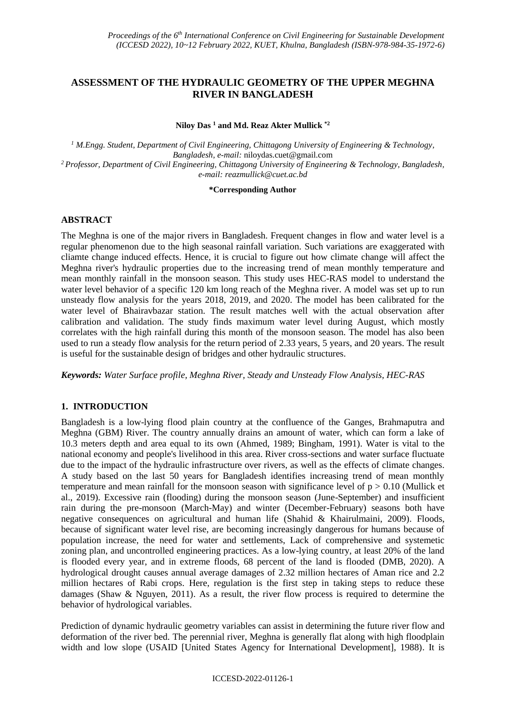# **ASSESSMENT OF THE HYDRAULIC GEOMETRY OF THE UPPER MEGHNA RIVER IN BANGLADESH**

**Niloy Das <sup>1</sup> and Md. Reaz Akter Mullick \*2**

*<sup>1</sup> M.Engg. Student, Department of Civil Engineering, Chittagong University of Engineering & Technology, Bangladesh, e-mail:* [niloydas.cuet@gmail.com](mailto:niloydas.cuet@gmail.com) *<sup>2</sup> Professor, Department of Civil Engineering, Chittagong University of Engineering & Technology, Bangladesh, e-mail: reazmullick@cuet.ac.bd*

#### **\*Corresponding Author**

# **ABSTRACT**

The Meghna is one of the major rivers in Bangladesh. Frequent changes in flow and water level is a regular phenomenon due to the high seasonal rainfall variation. Such variations are exaggerated with cliamte change induced effects. Hence, it is crucial to figure out how climate change will affect the Meghna river's hydraulic properties due to the increasing trend of mean monthly temperature and mean monthly rainfall in the monsoon season. This study uses HEC-RAS model to understand the water level behavior of a specific 120 km long reach of the Meghna river. A model was set up to run unsteady flow analysis for the years 2018, 2019, and 2020. The model has been calibrated for the water level of Bhairavbazar station. The result matches well with the actual observation after calibration and validation. The study finds maximum water level during August, which mostly correlates with the high rainfall during this month of the monsoon season. The model has also been used to run a steady flow analysis for the return period of 2.33 years, 5 years, and 20 years. The result is useful for the sustainable design of bridges and other hydraulic structures.

*Keywords: Water Surface profile, Meghna River, Steady and Unsteady Flow Analysis, HEC-RAS*

## **1. INTRODUCTION**

Bangladesh is a low-lying flood plain country at the confluence of the Ganges, Brahmaputra and Meghna (GBM) River. The country annually drains an amount of water, which can form a lake of 10.3 meters depth and area equal to its own (Ahmed, 1989; Bingham, 1991). Water is vital to the national economy and people's livelihood in this area. River cross-sections and water surface fluctuate due to the impact of the hydraulic infrastructure over rivers, as well as the effects of climate changes. A study based on the last 50 years for Bangladesh identifies increasing trend of mean monthly temperature and mean rainfall for the monsoon season with significance level of  $p > 0.10$  (Mullick et al., 2019). Excessive rain (flooding) during the monsoon season (June-September) and insufficient rain during the pre-monsoon (March-May) and winter (December-February) seasons both have negative consequences on agricultural and human life (Shahid & Khairulmaini, 2009). Floods, because of significant water level rise, are becoming increasingly dangerous for humans because of population increase, the need for water and settlements, Lack of comprehensive and systemetic zoning plan, and uncontrolled engineering practices. As a low-lying country, at least 20% of the land is flooded every year, and in extreme floods, 68 percent of the land is flooded (DMB, 2020). A hydrological drought causes annual average damages of 2.32 million hectares of Aman rice and 2.2 million hectares of Rabi crops. Here, regulation is the first step in taking steps to reduce these damages (Shaw & Nguyen, 2011). As a result, the river flow process is required to determine the behavior of hydrological variables.

Prediction of dynamic hydraulic geometry variables can assist in determining the future river flow and deformation of the river bed. The perennial river, Meghna is generally flat along with high floodplain width and low slope (USAID [United States Agency for International Development], 1988). It is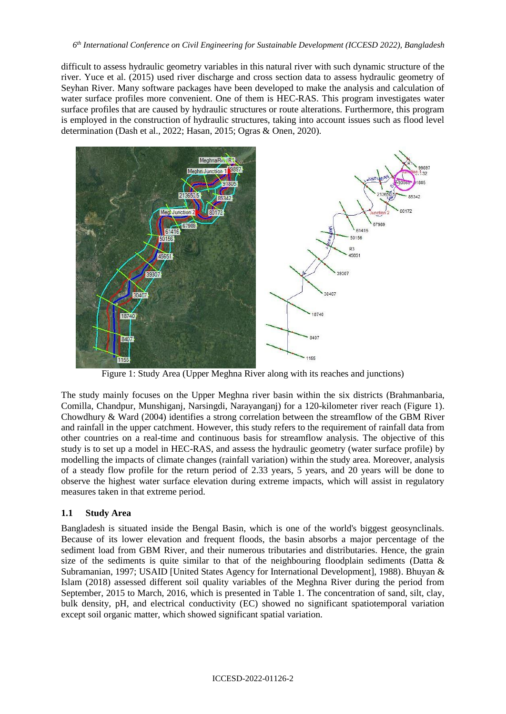difficult to assess hydraulic geometry variables in this natural river with such dynamic structure of the river. Yuce et al. (2015) used river discharge and cross section data to assess hydraulic geometry of Seyhan River. Many software packages have been developed to make the analysis and calculation of water surface profiles more convenient. One of them is HEC-RAS. This program investigates water surface profiles that are caused by hydraulic structures or route alterations. Furthermore, this program is employed in the construction of hydraulic structures, taking into account issues such as flood level determination (Dash et al., 2022; Hasan, 2015; Ogras & Onen, 2020).



Figure 1: Study Area (Upper Meghna River along with its reaches and junctions)

The study mainly focuses on the Upper Meghna river basin within the six districts (Brahmanbaria, Comilla, Chandpur, Munshiganj, Narsingdi, Narayanganj) for a 120-kilometer river reach (Figure 1). Chowdhury & Ward (2004) identifies a strong correlation between the streamflow of the GBM River and rainfall in the upper catchment. However, this study refers to the requirement of rainfall data from other countries on a real-time and continuous basis for streamflow analysis. The objective of this study is to set up a model in HEC-RAS, and assess the hydraulic geometry (water surface profile) by modelling the impacts of climate changes (rainfall variation) within the study area. Moreover, analysis of a steady flow profile for the return period of 2.33 years, 5 years, and 20 years will be done to observe the highest water surface elevation during extreme impacts, which will assist in regulatory measures taken in that extreme period.

# **1.1 Study Area**

Bangladesh is situated inside the Bengal Basin, which is one of the world's biggest geosynclinals. Because of its lower elevation and frequent floods, the basin absorbs a major percentage of the sediment load from GBM River, and their numerous tributaries and distributaries. Hence, the grain size of the sediments is quite similar to that of the neighbouring floodplain sediments (Datta & Subramanian, 1997; USAID [United States Agency for International Development], 1988). Bhuyan & Islam (2018) assessed different soil quality variables of the Meghna River during the period from September, 2015 to March, 2016, which is presented in Table 1. The concentration of sand, silt, clay, bulk density, pH, and electrical conductivity (EC) showed no significant spatiotemporal variation except soil organic matter, which showed significant spatial variation.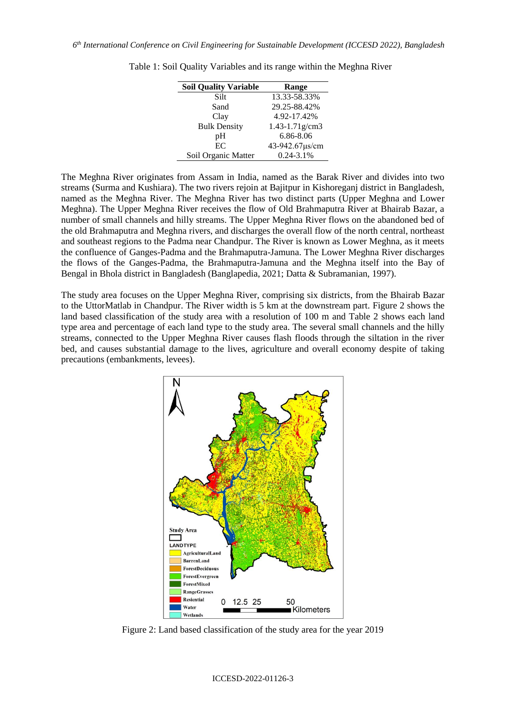| <b>Soil Quality Variable</b> | Range               |
|------------------------------|---------------------|
| Silt                         | 13.33-58.33%        |
| Sand                         | 29.25-88.42%        |
| Clay                         | 4.92-17.42%         |
| <b>Bulk Density</b>          | $1.43 - 1.71$ g/cm3 |
| pH                           | 6.86-8.06           |
| EC                           | 43-942.67µs/cm      |
| Soil Organic Matter          | 0.24-3.1%           |

Table 1: Soil Quality Variables and its range within the Meghna River

The Meghna River originates from Assam in India, named as the Barak River and divides into two streams (Surma and Kushiara). The two rivers rejoin at Bajitpur in Kishoreganj district in Bangladesh, named as the Meghna River. The Meghna River has two distinct parts (Upper Meghna and Lower Meghna). The Upper Meghna River receives the flow of Old Brahmaputra River at Bhairab Bazar, a number of small channels and hilly streams. The Upper Meghna River flows on the abandoned bed of the old Brahmaputra and Meghna rivers, and discharges the overall flow of the north central, northeast and southeast regions to the Padma near Chandpur. The River is known as Lower Meghna, as it meets the confluence of Ganges-Padma and the Brahmaputra-Jamuna. The Lower Meghna River discharges the flows of the Ganges-Padma, the Brahmaputra-Jamuna and the Meghna itself into the Bay of Bengal in Bhola district in Bangladesh (Banglapedia, 2021; Datta & Subramanian, 1997).

The study area focuses on the Upper Meghna River, comprising six districts, from the Bhairab Bazar to the UttorMatlab in Chandpur. The River width is 5 km at the downstream part. Figure 2 shows the land based classification of the study area with a resolution of 100 m and Table 2 shows each land type area and percentage of each land type to the study area. The several small channels and the hilly streams, connected to the Upper Meghna River causes flash floods through the siltation in the river bed, and causes substantial damage to the lives, agriculture and overall economy despite of taking precautions (embankments, levees).



Figure 2: Land based classification of the study area for the year 2019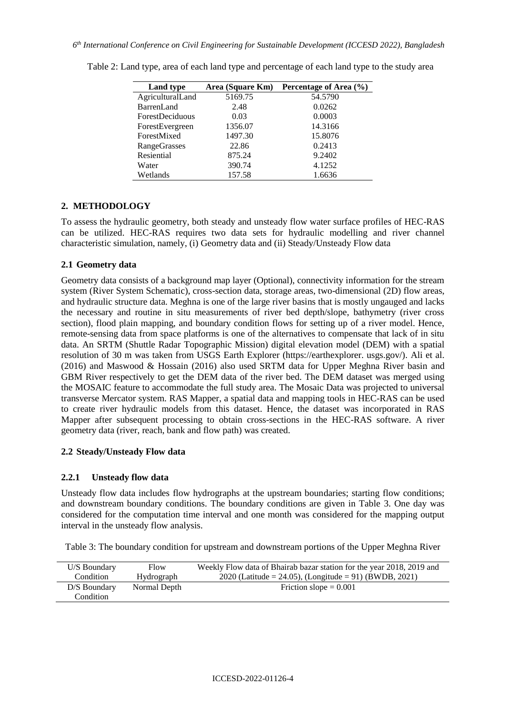| <b>Land type</b>       | Area (Square Km) | Percentage of Area (%) |
|------------------------|------------------|------------------------|
| AgriculturalLand       | 5169.75          | 54.5790                |
| <b>BarrenLand</b>      | 2.48             | 0.0262                 |
| <b>ForestDeciduous</b> | 0.03             | 0.0003                 |
| ForestEvergreen        | 1356.07          | 14.3166                |
| ForestMixed            | 1497.30          | 15.8076                |
| <b>RangeGrasses</b>    | 22.86            | 0.2413                 |
| Resiential             | 875.24           | 9.2402                 |
| Water                  | 390.74           | 4.1252                 |
| Wetlands               | 157.58           | 1.6636                 |

Table 2: Land type, area of each land type and percentage of each land type to the study area

# **2. METHODOLOGY**

To assess the hydraulic geometry, both steady and unsteady flow water surface profiles of HEC-RAS can be utilized. HEC-RAS requires two data sets for hydraulic modelling and river channel characteristic simulation, namely, (i) Geometry data and (ii) Steady/Unsteady Flow data

# **2.1 Geometry data**

Geometry data consists of a background map layer (Optional), connectivity information for the stream system (River System Schematic), cross-section data, storage areas, two-dimensional (2D) flow areas, and hydraulic structure data. Meghna is one of the large river basins that is mostly ungauged and lacks the necessary and routine in situ measurements of river bed depth/slope, bathymetry (river cross section), flood plain mapping, and boundary condition flows for setting up of a river model. Hence, remote-sensing data from space platforms is one of the alternatives to compensate that lack of in situ data. An SRTM (Shuttle Radar Topographic Mission) digital elevation model (DEM) with a spatial resolution of 30 m was taken from USGS Earth Explorer (https://earthexplorer. usgs.gov/). Ali et al. (2016) and Maswood & Hossain (2016) also used SRTM data for Upper Meghna River basin and GBM River respectively to get the DEM data of the river bed. The DEM dataset was merged using the MOSAIC feature to accommodate the full study area. The Mosaic Data was projected to universal transverse Mercator system. RAS Mapper, a spatial data and mapping tools in HEC-RAS can be used to create river hydraulic models from this dataset. Hence, the dataset was incorporated in RAS Mapper after subsequent processing to obtain cross-sections in the HEC-RAS software. A river geometry data (river, reach, bank and flow path) was created.

## **2.2 Steady/Unsteady Flow data**

## **2.2.1 Unsteady flow data**

Unsteady flow data includes flow hydrographs at the upstream boundaries; starting flow conditions; and downstream boundary conditions. The boundary conditions are given in Table 3. One day was considered for the computation time interval and one month was considered for the mapping output interval in the unsteady flow analysis.

Table 3: The boundary condition for upstream and downstream portions of the Upper Meghna River

| U/S Boundary   | Flow         | Weekly Flow data of Bhairab bazar station for the year 2018, 2019 and |
|----------------|--------------|-----------------------------------------------------------------------|
| Condition      | Hydrograph   | 2020 (Latitude = 24.05), (Longitude = 91) (BWDB, 2021)                |
| $D/S$ Boundary | Normal Depth | Friction slope $= 0.001$                                              |
| Condition      |              |                                                                       |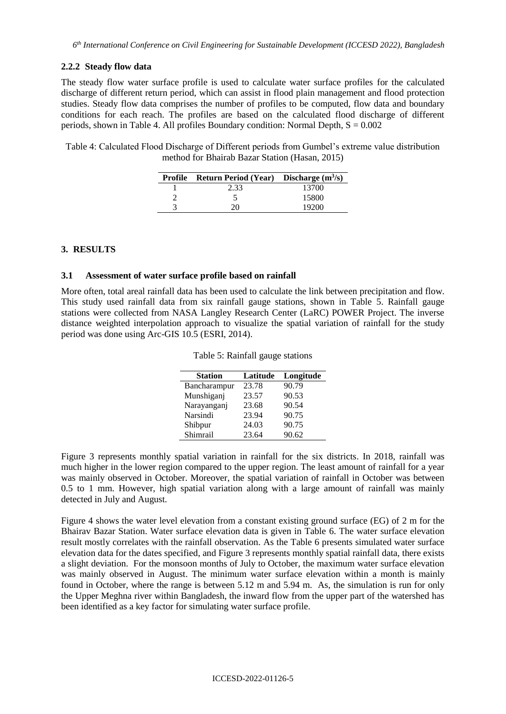### **2.2.2 Steady flow data**

The steady flow water surface profile is used to calculate water surface profiles for the calculated discharge of different return period, which can assist in flood plain management and flood protection studies. Steady flow data comprises the number of profiles to be computed, flow data and boundary conditions for each reach. The profiles are based on the calculated flood discharge of different periods, shown in Table 4. All profiles Boundary condition: Normal Depth,  $S = 0.002$ 

Table 4: Calculated Flood Discharge of Different periods from Gumbel's extreme value distribution method for Bhairab Bazar Station (Hasan, 2015)

|   | <b>Profile</b> Return Period (Year) Discharge $(m^3/s)$ |       |
|---|---------------------------------------------------------|-------|
|   | 2.33                                                    | 13700 |
|   |                                                         | 15800 |
| 3 | 20                                                      | 19200 |

### **3. RESULTS**

#### **3.1 Assessment of water surface profile based on rainfall**

More often, total areal rainfall data has been used to calculate the link between precipitation and flow. This study used rainfall data from six rainfall gauge stations, shown in Table 5. Rainfall gauge stations were collected from NASA Langley Research Center (LaRC) POWER Project. The inverse distance weighted interpolation approach to visualize the spatial variation of rainfall for the study period was done using Arc-GIS 10.5 (ESRI, 2014).

| <b>Station</b> | Latitude | Longitude |
|----------------|----------|-----------|
| Bancharampur   | 23.78    | 90.79     |
| Munshiganj     | 23.57    | 90.53     |
| Narayanganj    | 23.68    | 90.54     |
| Narsindi       | 23.94    | 90.75     |
| Shibpur        | 24.03    | 90.75     |
| Shimrail       | 23.64    | 90.62     |

Table 5: Rainfall gauge stations

Figure 3 represents monthly spatial variation in rainfall for the six districts. In 2018, rainfall was much higher in the lower region compared to the upper region. The least amount of rainfall for a year was mainly observed in October. Moreover, the spatial variation of rainfall in October was between 0.5 to 1 mm. However, high spatial variation along with a large amount of rainfall was mainly detected in July and August.

Figure 4 shows the water level elevation from a constant existing ground surface (EG) of 2 m for the Bhairav Bazar Station. Water surface elevation data is given in Table 6. The water surface elevation result mostly correlates with the rainfall observation. As the Table 6 presents simulated water surface elevation data for the dates specified, and Figure 3 represents monthly spatial rainfall data, there exists a slight deviation. For the monsoon months of July to October, the maximum water surface elevation was mainly observed in August. The minimum water surface elevation within a month is mainly found in October, where the range is between 5.12 m and 5.94 m. As, the simulation is run for only the Upper Meghna river within Bangladesh, the inward flow from the upper part of the watershed has been identified as a key factor for simulating water surface profile.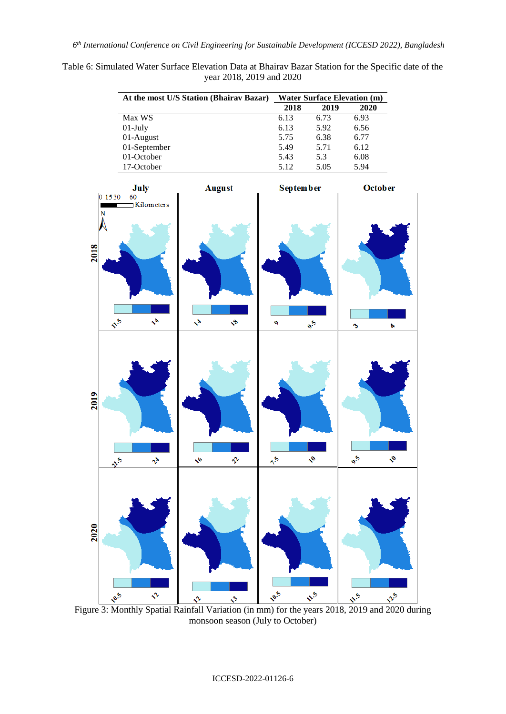Table 6: Simulated Water Surface Elevation Data at Bhairav Bazar Station for the Specific date of the year 2018, 2019 and 2020

| At the most U/S Station (Bhairav Bazar) | <b>Water Surface Elevation (m)</b> |      |      |
|-----------------------------------------|------------------------------------|------|------|
|                                         | 2018                               | 2019 | 2020 |
| Max WS                                  | 6.13                               | 6.73 | 6.93 |
| $01$ -July                              | 6.13                               | 5.92 | 6.56 |
| 01-August                               | 5.75                               | 6.38 | 6.77 |
| 01-September                            | 5.49                               | 5.71 | 6.12 |
| 01-October                              | 5.43                               | 5.3  | 6.08 |
| 17-October                              | 5.12                               | 5.05 | 5.94 |



monsoon season (July to October)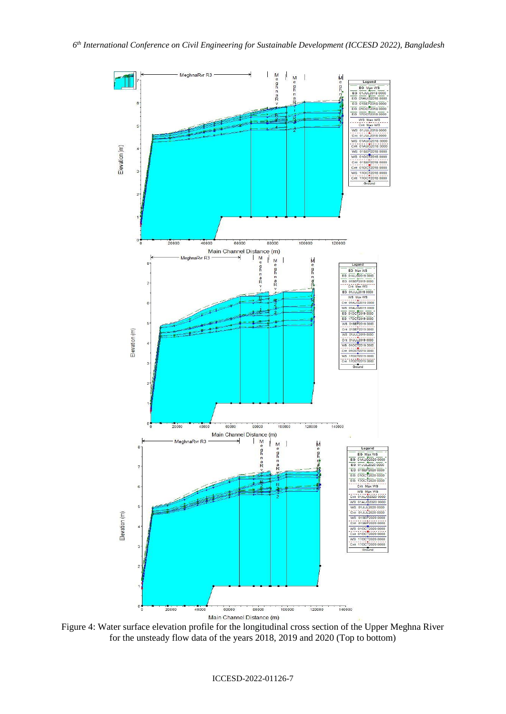

Figure 4: Water surface elevation profile for the longitudinal cross section of the Upper Meghna River for the unsteady flow data of the years 2018, 2019 and 2020 (Top to bottom)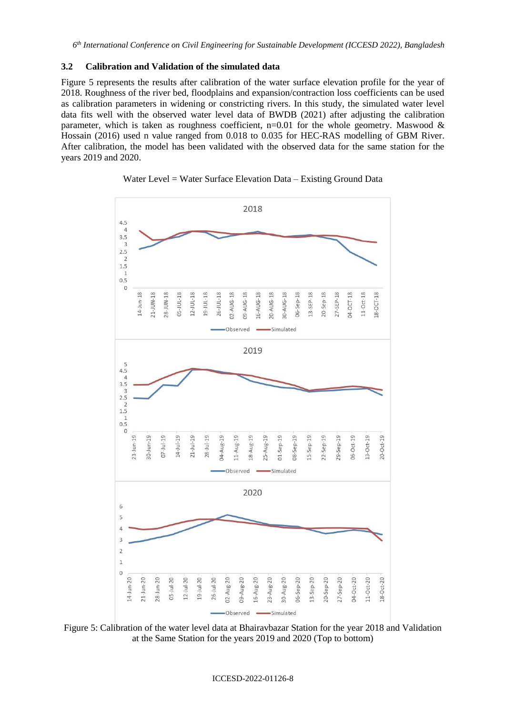#### **3.2 Calibration and Validation of the simulated data**

Figure 5 represents the results after calibration of the water surface elevation profile for the year of 2018. Roughness of the river bed, floodplains and expansion/contraction loss coefficients can be used as calibration parameters in widening or constricting rivers. In this study, the simulated water level data fits well with the observed water level data of BWDB (2021) after adjusting the calibration parameter, which is taken as roughness coefficient,  $n=0.01$  for the whole geometry. Maswood & Hossain (2016) used n value ranged from 0.018 to 0.035 for HEC-RAS modelling of GBM River. After calibration, the model has been validated with the observed data for the same station for the years 2019 and 2020.



Water Level = Water Surface Elevation Data – Existing Ground Data

Figure 5: Calibration of the water level data at Bhairavbazar Station for the year 2018 and Validation at the Same Station for the years 2019 and 2020 (Top to bottom)

#### ICCESD-2022-01126-8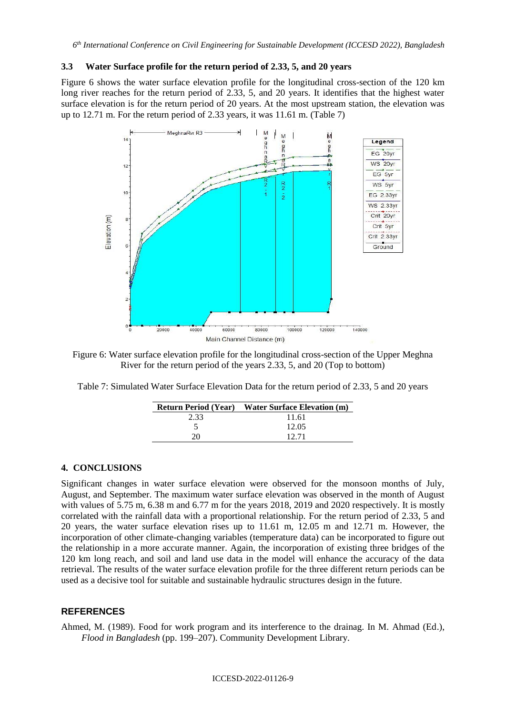### **3.3 Water Surface profile for the return period of 2.33, 5, and 20 years**

Figure 6 shows the water surface elevation profile for the longitudinal cross-section of the 120 km long river reaches for the return period of 2.33, 5, and 20 years. It identifies that the highest water surface elevation is for the return period of 20 years. At the most upstream station, the elevation was up to 12.71 m. For the return period of 2.33 years, it was 11.61 m. (Table 7)



Figure 6: Water surface elevation profile for the longitudinal cross-section of the Upper Meghna River for the return period of the years 2.33, 5, and 20 (Top to bottom)

| Table 7: Simulated Water Surface Elevation Data for the return period of 2.33, 5 and 20 years |  |
|-----------------------------------------------------------------------------------------------|--|
|-----------------------------------------------------------------------------------------------|--|

|      | <b>Return Period (Year)</b> Water Surface Elevation (m) |
|------|---------------------------------------------------------|
| 2.33 | 11.61                                                   |
|      | 12.05                                                   |
| 20   | 12.71                                                   |

#### **4. CONCLUSIONS**

Significant changes in water surface elevation were observed for the monsoon months of July, August, and September. The maximum water surface elevation was observed in the month of August with values of 5.75 m, 6.38 m and 6.77 m for the years 2018, 2019 and 2020 respectively. It is mostly correlated with the rainfall data with a proportional relationship. For the return period of 2.33, 5 and 20 years, the water surface elevation rises up to 11.61 m, 12.05 m and 12.71 m. However, the incorporation of other climate-changing variables (temperature data) can be incorporated to figure out the relationship in a more accurate manner. Again, the incorporation of existing three bridges of the 120 km long reach, and soil and land use data in the model will enhance the accuracy of the data retrieval. The results of the water surface elevation profile for the three different return periods can be used as a decisive tool for suitable and sustainable hydraulic structures design in the future.

#### **REFERENCES**

Ahmed, M. (1989). Food for work program and its interference to the drainag. In M. Ahmad (Ed.), *Flood in Bangladesh* (pp. 199–207). Community Development Library.